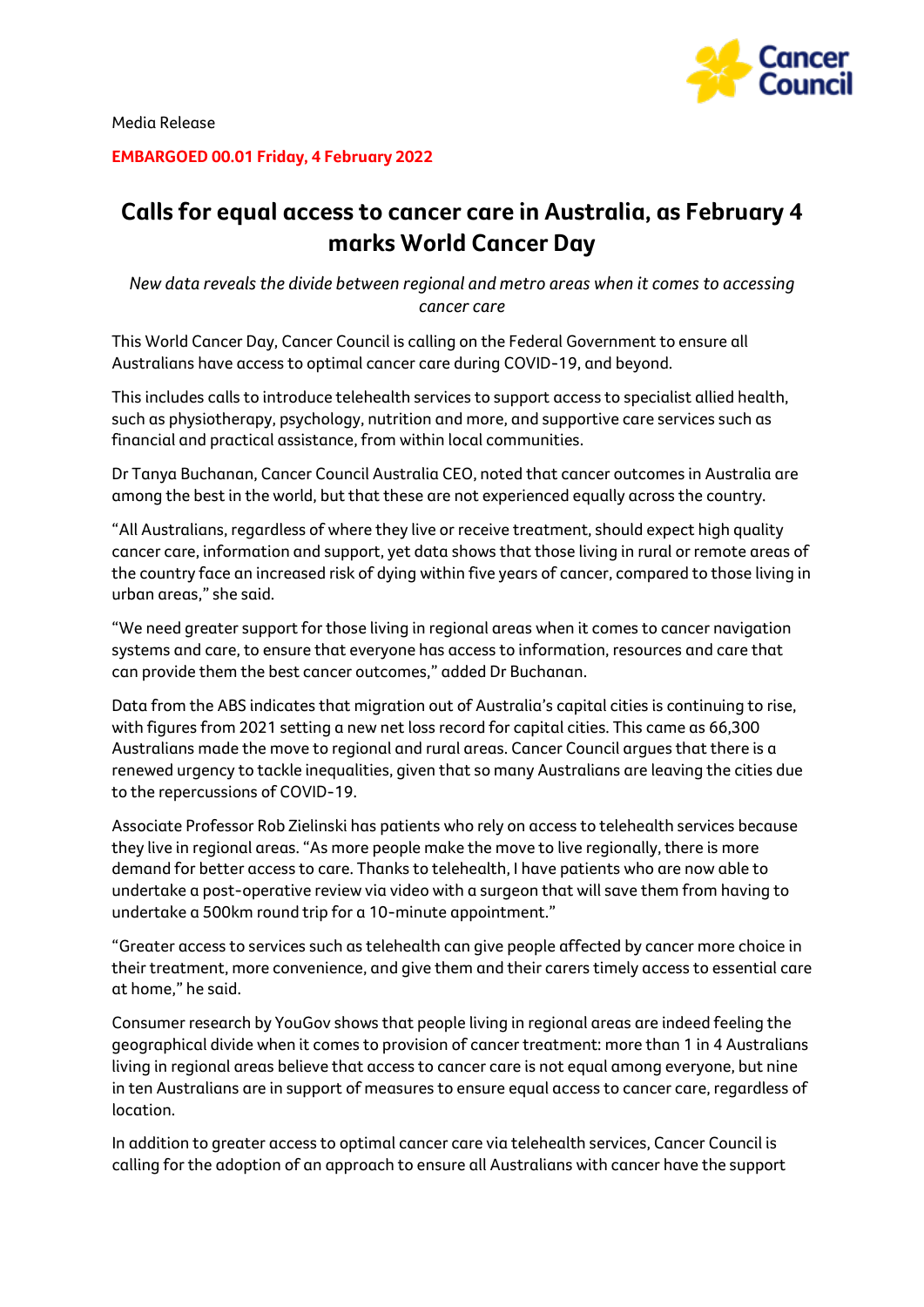

**EMBARGOED 00.01 Friday, 4 February 2022**

## **Calls for equal access to cancer care in Australia, as February 4 marks World Cancer Day**

*New data reveals the divide between regional and metro areas when it comes to accessing cancer care*

This World Cancer Day, Cancer Council is calling on the Federal Government to ensure all Australians have access to optimal cancer care during COVID-19, and beyond.

This includes calls to introduce telehealth services to support access to specialist allied health, such as physiotherapy, psychology, nutrition and more, and supportive care services such as financial and practical assistance, from within local communities.

Dr Tanya Buchanan, Cancer Council Australia CEO, noted that cancer outcomes in Australia are among the best in the world, but that these are not experienced equally across the country.

"All Australians, regardless of where they live or receive treatment, should expect high quality cancer care, information and support, yet data shows that those living in rural or remote areas of the country face an increased risk of dying within five years of cancer, compared to those living in urban areas," she said.

"We need greater support for those living in regional areas when it comes to cancer navigation systems and care, to ensure that everyone has access to information, resources and care that can provide them the best cancer outcomes," added Dr Buchanan.

Data from the ABS indicates that migration out of Australia's capital cities is continuing to rise, with figures from 2021 setting a new net loss record for capital cities. This came as 66,300 Australians made the move to regional and rural areas. Cancer Council argues that there is a renewed urgency to tackle inequalities, given that so many Australians are leaving the cities due to the repercussions of COVID-19.

Associate Professor Rob Zielinski has patients who rely on access to telehealth services because they live in regional areas. "As more people make the move to live regionally, there is more demand for better access to care. Thanks to telehealth, I have patients who are now able to undertake a post-operative review via video with a surgeon that will save them from having to undertake a 500km round trip for a 10-minute appointment."

"Greater access to services such as telehealth can give people affected by cancer more choice in their treatment, more convenience, and give them and their carers timely access to essential care at home," he said.

Consumer research by YouGov shows that people living in regional areas are indeed feeling the geographical divide when it comes to provision of cancer treatment: more than 1 in 4 Australians living in regional areas believe that access to cancer care is not equal among everyone, but nine in ten Australians are in support of measures to ensure equal access to cancer care, regardless of location.

In addition to greater access to optimal cancer care via telehealth services, Cancer Council is calling for the adoption of an approach to ensure all Australians with cancer have the support